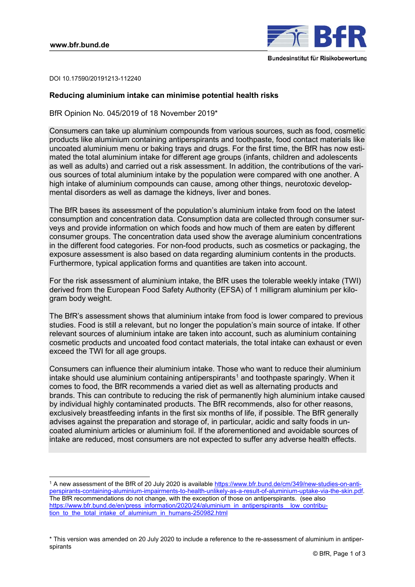-



DOI 10.17590/20191213-112240

# **Reducing aluminium intake can minimise potential health risks**

BfR Opinion No. 045/2019 of 18 November 2019\*

Consumers can take up aluminium compounds from various sources, such as food, cosmetic products like aluminium containing antiperspirants and toothpaste, food contact materials like uncoated aluminium menu or baking trays and drugs. For the first time, the BfR has now estimated the total aluminium intake for different age groups (infants, children and adolescents as well as adults) and carried out a risk assessment. In addition, the contributions of the various sources of total aluminium intake by the population were compared with one another. A high intake of aluminium compounds can cause, among other things, neurotoxic developmental disorders as well as damage the kidneys, liver and bones.

The BfR bases its assessment of the population's aluminium intake from food on the latest consumption and concentration data. Consumption data are collected through consumer surveys and provide information on which foods and how much of them are eaten by different consumer groups. The concentration data used show the average aluminium concentrations in the different food categories. For non-food products, such as cosmetics or packaging, the exposure assessment is also based on data regarding aluminium contents in the products. Furthermore, typical application forms and quantities are taken into account.

For the risk assessment of aluminium intake, the BfR uses the tolerable weekly intake (TWI) derived from the European Food Safety Authority (EFSA) of 1 milligram aluminium per kilogram body weight.

The BfR's assessment shows that aluminium intake from food is lower compared to previous studies. Food is still a relevant, but no longer the population's main source of intake. If other relevant sources of aluminium intake are taken into account, such as aluminium containing cosmetic products and uncoated food contact materials, the total intake can exhaust or even exceed the TWI for all age groups.

Consumers can influence their aluminium intake. Those who want to reduce their aluminium intake should use aluminium containing antiperspirants<sup>1</sup> and toothpaste sparingly. When it comes to food, the BfR recommends a varied diet as well as alternating products and brands. This can contribute to reducing the risk of permanently high aluminium intake caused by individual highly contaminated products. The BfR recommends, also for other reasons, exclusively breastfeeding infants in the first six months of life, if possible. The BfR generally advises against the preparation and storage of, in particular, acidic and salty foods in uncoated aluminium articles or aluminium foil. If the aforementioned and avoidable sources of intake are reduced, most consumers are not expected to suffer any adverse health effects.

<sup>1</sup> A new assessment of the BfR of 20 July 2020 is available https://www.bfr.bund.de/cm/349/new-studies-on-anti[perspirants-containing-aluminium-impairments-to-health-unlikely-as-a-result-of-aluminium-uptake-via-the-skin.pdf.](https://www.bfr.bund.de/cm/349/new-studies-on-antiperspirants-containing-aluminium-impairments-to-health-unlikely-as-a-result-of-aluminium-uptake-via-the-skin.pdf) The BfR recommendations do not change, with the exception of those on antiperspirants. (see also [https://www.bfr.bund.de/en/press\\_information/2020/24/aluminium\\_in\\_antiperspirants\\_\\_low\\_contribu](https://www.bfr.bund.de/en/press_information/2020/24/aluminium_in_antiperspirants__low_contribu-tion_to_the_total_intake_of_aluminium_in_humans-250982.html)tion to the total intake of aluminium in humans-250982.html

<sup>\*</sup> This version was amended on 20 July 2020 to include a reference to the re-assessment of aluminium in antiperspirants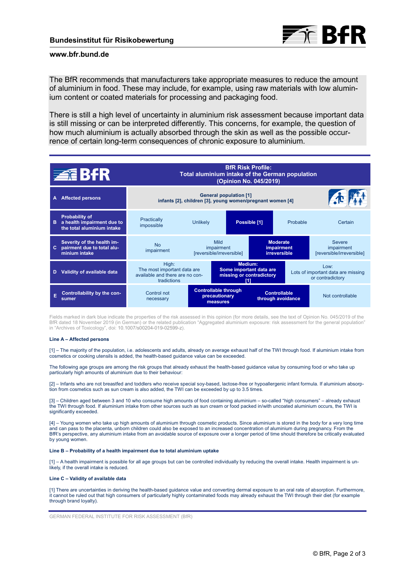

# **www.bfr.bund.de**

The BfR recommends that manufacturers take appropriate measures to reduce the amount of aluminium in food. These may include, for example, using raw materials with low aluminium content or coated materials for processing and packaging food.

There is still a high level of uncertainty in aluminium risk assessment because important data is still missing or can be interpreted differently. This concerns, for example, the question of how much aluminium is actually absorbed through the skin as well as the possible occurrence of certain long-term consequences of chronic exposure to aluminium.



Fields marked in dark blue indicate the properties of the risk assessed in this opinion (for more details, see the text of Opinion No. 045/2019 of the BfR dated 18 November 2019 (in German) or the related publication "Aggregated aluminium exposure: risk assessment for the general population" in "Archives of Toxicology", doi: 10.1007/s00204-019-02599-z).

## **Line A – Affected persons**

[1] – The majority of the population, i.e. adolescents and adults, already on average exhaust half of the TWI through food. If aluminium intake from cosmetics or cooking utensils is added, the health-based guidance value can be exceeded.

The following age groups are among the risk groups that already exhaust the health-based guidance value by consuming food or who take up particularly high amounts of aluminium due to their behaviour:

[2] – Infants who are not breastfed and toddlers who receive special soy-based, lactose-free or hypoallergenic infant formula. If aluminium absorption from cosmetics such as sun cream is also added, the TWI can be exceeded by up to 3.5 times.

[3] – Children aged between 3 and 10 who consume high amounts of food containing aluminium – so-called "high consumers" – already exhaust the TWI through food. If aluminium intake from other sources such as sun cream or food packed in/with uncoated aluminium occurs, the TWI is significantly exceeded.

[4] – Young women who take up high amounts of aluminium through cosmetic products. Since aluminium is stored in the body for a very long time and can pass to the placenta, unborn children could also be exposed to an increased concentration of aluminium during pregnancy. From the BfR's perspective, any aluminium intake from an avoidable source of exposure over a longer period of time should therefore be critically evaluated by young women.

## **Line B – Probability of a health impairment due to total aluminium uptake**

[1] – A health impairment is possible for all age groups but can be controlled individually by reducing the overall intake. Health impairment is unlikely, if the overall intake is reduced.

## **Line C – Validity of available data**

[1] There are uncertainties in deriving the health-based guidance value and converting dermal exposure to an oral rate of absorption. Furthermore, it cannot be ruled out that high consumers of particularly highly contaminated foods may already exhaust the TWI through their diet (for example through brand loyalty).

GERMAN FEDERAL INSTITUTE FOR RISK ASSESSMENT (BfR)